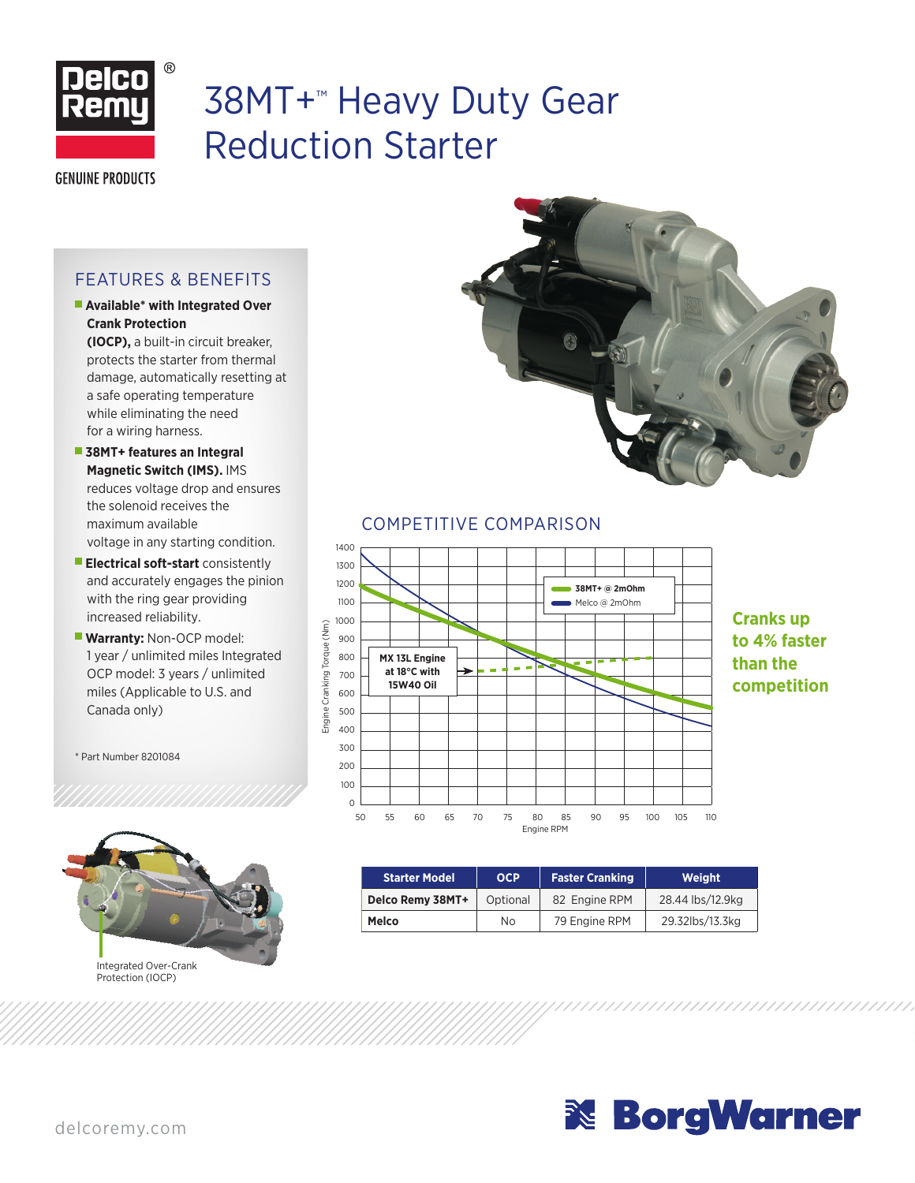

# 38MT+™ Heavy Duty Gear Reduction Starter

**GENUINE PRODUCTS** 

### FEATURES & BENEFITS

**Available\* with Integrated Over Crank Protection**

**(IOCP),** a built-in circuit breaker, protects the starter from thermal damage, automatically resetting at a safe operating temperature while eliminating the need for a wiring harness.

- **38MT+ features an Integral Magnetic Switch (IMS).** IMS reduces voltage drop and ensures the solenoid receives the maximum available voltage in any starting condition.
- **Electrical soft-start** consistently and accurately engages the pinion with the ring gear providing increased reliability.
- **Warranty: Non-OCP model:** 1 year / unlimited miles Integrated OCP model: 3 years / unlimited miles (Applicable to U.S. and Canada only)

\* Part Number 8201084





#### COMPETITIVE COMPARISON



**Cranks up to 4% faster than the competition**

| <b>Starter Model</b> | <b>OCP</b> | <b>Faster Cranking</b> | Weight           |  |
|----------------------|------------|------------------------|------------------|--|
| Delco Remy 38MT+     | Optional   | 82 Engine RPM          | 28.44 lbs/12.9kg |  |
| Melco                | No.        | 79 Engine RPM          | 29.32lbs/13.3kg  |  |